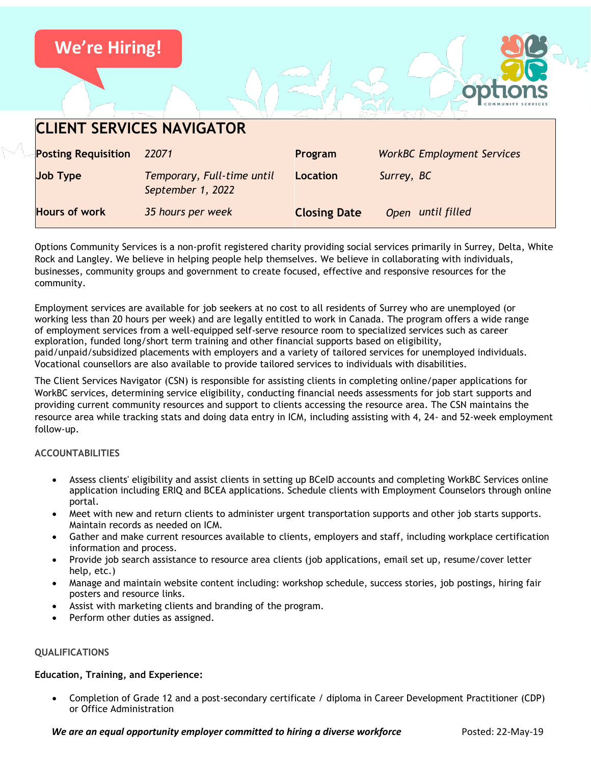

Options Community Services is a non-profit registered charity providing social services primarily in Surrey, Delta, White Rock and Langley. We believe in helping people help themselves. We believe in collaborating with individuals, businesses, community groups and government to create focused, effective and responsive resources for the community.

Employment services are available for job seekers at no cost to all residents of Surrey who are unemployed (or working less than 20 hours per week) and are legally entitled to work in Canada. The program offers a wide range of employment services from a well-equipped self-serve resource room to specialized services such as career exploration, funded long/short term training and other financial supports based on eligibility, paid/unpaid/subsidized placements with employers and a variety of tailored services for unemployed individuals. Vocational counsellors are also available to provide tailored services to individuals with disabilities.

The Client Services Navigator (CSN) is responsible for assisting clients in completing online/paper applications for WorkBC services, determining service eligibility, conducting financial needs assessments for job start supports and providing current community resources and support to clients accessing the resource area. The CSN maintains the resource area while tracking stats and doing data entry in ICM, including assisting with 4, 24- and 52-week employment follow-up.

# **ACCOUNTABILITIES**

- Assess clients' eligibility and assist clients in setting up BCeID accounts and completing WorkBC Services online application including ERIQ and BCEA applications. Schedule clients with Employment Counselors through online portal.
- Meet with new and return clients to administer urgent transportation supports and other job starts supports. Maintain records as needed on ICM.
- Gather and make current resources available to clients, employers and staff, including workplace certification information and process.
- Provide job search assistance to resource area clients (job applications, email set up, resume/cover letter help, etc.)
- Manage and maintain website content including: workshop schedule, success stories, job postings, hiring fair posters and resource links.
- Assist with marketing clients and branding of the program.
- Perform other duties as assigned.

# **QUALIFICATIONS**

# **Education, Training, and Experience:**

• Completion of Grade 12 and a post-secondary certificate / diploma in Career Development Practitioner (CDP) or Office Administration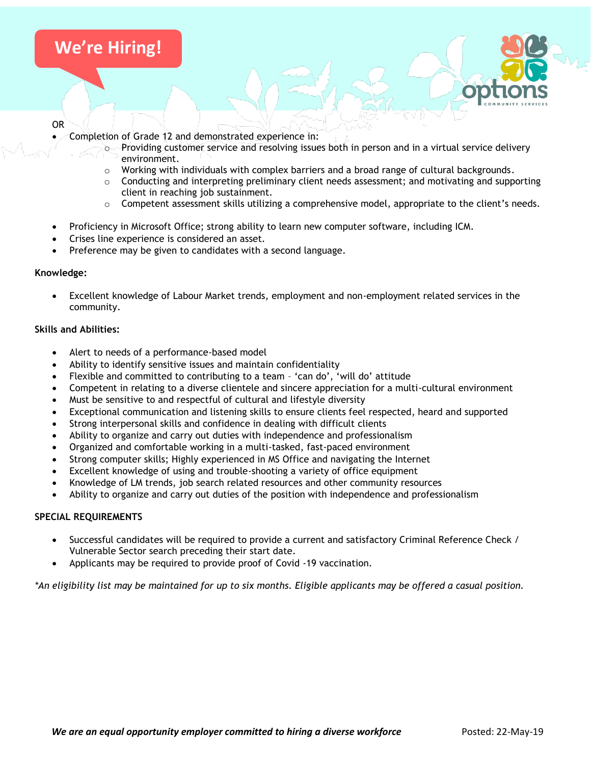# **We're Hiring!**

#### OR

- Completion of Grade 12 and demonstrated experience in:
	- $\circ$  Providing customer service and resolving issues both in person and in a virtual service delivery environment.
	- $\circ$  Working with individuals with complex barriers and a broad range of cultural backgrounds.
	- $\circ$  Conducting and interpreting preliminary client needs assessment; and motivating and supporting client in reaching job sustainment.
	- $\circ$  Competent assessment skills utilizing a comprehensive model, appropriate to the client's needs.
- Proficiency in Microsoft Office; strong ability to learn new computer software, including ICM.
- Crises line experience is considered an asset.
- Preference may be given to candidates with a second language.

## **Knowledge:**

• Excellent knowledge of Labour Market trends, employment and non-employment related services in the community.

## **Skills and Abilities:**

- Alert to needs of a performance-based model
- Ability to identify sensitive issues and maintain confidentiality
- Flexible and committed to contributing to a team 'can do', 'will do' attitude
- Competent in relating to a diverse clientele and sincere appreciation for a multi-cultural environment
- Must be sensitive to and respectful of cultural and lifestyle diversity
- Exceptional communication and listening skills to ensure clients feel respected, heard and supported
- Strong interpersonal skills and confidence in dealing with difficult clients
- Ability to organize and carry out duties with independence and professionalism
- Organized and comfortable working in a multi-tasked, fast-paced environment
- Strong computer skills; Highly experienced in MS Office and navigating the Internet
- Excellent knowledge of using and trouble-shooting a variety of office equipment
- Knowledge of LM trends, job search related resources and other community resources
- Ability to organize and carry out duties of the position with independence and professionalism

## **SPECIAL REQUIREMENTS**

- Successful candidates will be required to provide a current and satisfactory Criminal Reference Check / Vulnerable Sector search preceding their start date.
- Applicants may be required to provide proof of Covid -19 vaccination.

*\*An eligibility list may be maintained for up to six months. Eligible applicants may be offered a casual position.*